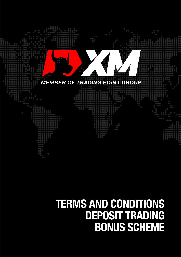

# **TERMS AND CONDITIONS<br>DEPOSIT TRADING BONUS SCHEME**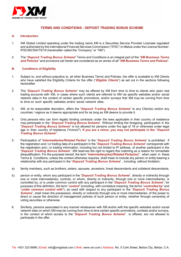

# **TERMS AND CONDITIONS - DEPOSIT TRADING BONUS SCHEME**

### **A. Introduction**

- 1. XM Global Limited operating under the trading name XM is a Securities Service Provider Licensee regulated and authorised by the International Financial Services Commission ("IFSC") in Belize under the Licence Number: IFSC/60/354/TS/19 (hereinafter called the "Company" or "XM").
- 2. The "*Deposit Trading Bonus Scheme*" Terms and Conditions is an integral part of the "*XM Business Terms and Policies*" and provisions set herein are considered as an annex of all "*XM Business Terms and Policies*".

### **B. Conditions of Eligibility**

- 1. Subject to, and without prejudice to, all other Business Terms and Policies, the offer is available to XM Clients who have satisfied the Eligibility Criteria for the offer ("*Eligible Clients*") as set out in the sections following hereinafter.
- 2. The "*Deposit Trading Bonus Scheme*" may be offered by XM from time to time to clients who open real trading accounts with XM, in cases where such clients are referred to XM via specific websites and/or social network sites in the context of certain specific promotions, and/or surveys that XM may be running from time to time on such specific websites and/or social network sites.
- 3. XM, at its reasonable discretion, offers the "*Deposit Trading Bonus Scheme*" to any Client(s) and/or any countries / regions as it deems appropriate and for as long as XM deems to provide it.
- 4. Only persons who can form legally binding contracts under the laws applicable in their country of residence may participate in the "*Deposit Trading Bonus Scheme*". Without limiting the foregoing, participation in the "*Deposit Trading Bonus Scheme*" is not allowed for persons under the age of 18 or otherwise under legal age in their country of residence ("minors**"**). **If you are a minor, you may not participate in the "***Deposit Trading Bonus Scheme***".**
- 5. Participation of "*Intermediaries/Related Parties*" in the "*Deposit Trading Bonus Scheme*" is prohibited. If the registration and / or trading data of a participant in the "*Deposit Trading Bonus Scheme*" corresponds with the registration and / or trading information, including but not limited to IP address, of another participant in the "*Deposit Trading Bonus Scheme*", XM reserves the right to regard this matching as a reason for immediate disqualification. For the purposes hereof, the term "*Intermediary(ies)/Related Party(ies)*", when used in these Terms & Conditions, unless the context otherwise requires, shall mean to include any person or entity bearing a relationship with any participant in the "*Deposit Trading Bonus Scheme*" , including, without limitation:
- a) family members, such as brothers, sisters, spouses, ancestors, lineal descendants and collateral descendants;
- b) person or entity, whom any participant in the "*Deposit Trading Bonus Scheme*", directly or indirectly through one or more intermediaries, controls, or whom, directly or indirectly, through one or more intermediaries, is controlled by, or is under common control with any participant in the "*Deposit Trading Bonus Scheme*"; for purposes of this definition, the term "*control*" (including, with correlative meaning, the terms "*controlled by*" and "*under common control with*"), as used with respect to any participant in the "*Deposit Trading Bonus Scheme*", shall mean the possession, directly or indirectly through one or more intermediaries, of the power to direct or cause the direction of management policies of such person or entity, whether through ownership of voting securities or otherwise.
- 6. Similarly, persons associated in any manner whatsoever with XM and/or with the specific websites and/or social network sites on which XM may be running from time to time certain specific promotions, contests and/or surveys, in the context of which access to the "*Deposit Trading Bonus Scheme*" is offered, are not allowed to participate in the offer.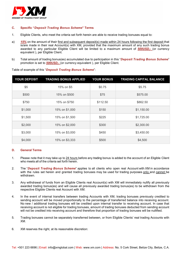

# **C. Specific "***Deposit Trading Bonus Scheme***" Terms**

- 1. Eligible Clients, who meet the criteria set forth herein are able to receive trading bonuses equal to:
- a) *15%* on the amount of their first and subsequent deposit(s) made within 24 hours following the first deposit that is/are made in their real Account(s) with XM, provided that the maximum amount of any such trading bonus awarded to any particular Eligible Client will be limited to a maximum amount of *500USD,-* (or currency equivalent ), per Eligible Client.
- b) Total amount of trading bonus(es) accumulated due to participation in this "*Deposit Trading Bonus Scheme*" promotion is set to *500USD,-* (or currency equivalent ), per Eligible Client.

| <b>YOUR DEPOSIT</b> | <b>TRADING BONUS APPLIED</b> | <b>YOUR BONUS</b> | <b>TRADING CAPITAL BALANCE</b> |
|---------------------|------------------------------|-------------------|--------------------------------|
| \$5                 | 15% on \$5                   | \$0.75            | \$5.75                         |
| \$500               | 15% on \$500                 | \$75              | \$575.00                       |
| \$750               | 15% on \$750                 | \$112.50          | \$862.50                       |
| \$1,000             | 15% on \$1,000               | \$150             | \$1,150.00                     |
| \$1,500             | 15% on \$1,500               | \$225             | \$1,725.00                     |
| \$2,000             | 15% on \$2,000               | \$300             | \$2,300.00                     |
| \$3,000             | 15% on \$3,000               | \$450             | \$3,450.00                     |
| \$4,000             | 15% on \$3,333               | \$500             | \$4,500                        |

Table of example of this "*Deposit Trading Bonus Scheme*":

## **D. General Terms**

- 1. Please note that it may take up to 24 hours before any trading bonus is added to the account of an Eligible Client who meets all of the criteria set forth herein.
- 2. The "*Deposit Trading Bonus Scheme*" applies to all clients who open real Account with XM in accordance with the rules set herein and granted trading bonuses may be used for trading purposes only and cannot be withdrawn.
- 3. Any withdrawal of funds from an Eligible Clients real Account(s) with XM will immediately nullify all previously awarded trading bonus(es) and will cause all previously awarded trading bonus(es) to be withdrawn from the respective Eligible Clients real Account with XM.
- 4. In the event of internal transfers between trading Accounts with XM, trading bonuses previously credited to sending account will be moved proportionally to the percentage of transferred balance into receiving account. No new / additional trading bonuses will be credited upon internal transfer to receiving account. In case that receiving account is not eligible for trading bonuses, amount of trading bonuses deducted from sending account will not be credited into receiving account and therefore that proportion of trading bonuses will be nullified.
- 5. Trading bonuses cannot be separately transferred between, or from Eligible Clients' real trading Accounts with XM.
- 6. XM reserves the right, at its reasonable discretion: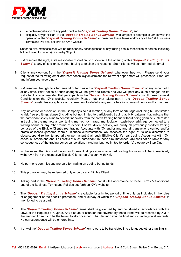

- i. to decline registration of any participant in the "*Deposit Trading Bonus Scheme*"; and
- disqualify any participant in the "*Deposit Trading Bonus Scheme*" who tampers or attempts to tamper with the operation of the "*Deposit Trading Bonus Scheme*", or breaches these terms and/or any of the "XM Business Terms and Policies" set forth on XM's website.

Under no circumstances shall XM be liable for any consequences of any trading bonus cancelation or decline, including, but not limited to, order(s) closure by Stop Out.

- 7. XM reserves the right, at its reasonable discretion, to discontinue the offering of this "*Deposit Trading Bonus Scheme*" to any of its clients, without having to explain the reasons. Such clients will be informed via email.
- 8. Clients may opt-out from the "*Deposit Trading Bonus Scheme*" whenever they wish. Please send your request at the following email address: nobonus@xm.com and the relevant department will process your request and inform you accordingly.
- 9. XM reserves the right to alter, amend or terminate the "*Deposit Trading Bonus Scheme*" or any aspect of it at any time. Prior notice of such changes will be given to clients and XM will post any such changes on its website. It is recommended that participants in the "*Deposit Trading Bonus Scheme*" consult these Terms & Conditions on the XM's website regularly. Please note that taking part in the "*Deposit Trading Bonus Scheme*" constitutes acceptance and agreement to abide by any such alterations, amendments and/or changes.
- 10. Any indication or suspicion, in the Company's sole discretion, of any form of arbitrage (including but not limited to risk free profiting), abuse (including but not limited to participant's trading activity patterns that indicate that the participant solely aims to benefit financially from the credit trading bonus without being genuinely interested in trading in the markets and/or taking market risk), fraud, manipulation, cash-back arbitrage connected to a trading bonus or any other forms of deceitful or fraudulent activity, will nullify all previously credited trading bonuses of the Eligible Client's real trading Accounts with XM and/or any and all transactions carried and/or profits or losses garnered therein. In these circumstances, XM reserves the right, at its sole discretion to close/suspend (either temporarily or permanently) all such Eligible Client's real trading Account(s) with XM, cancel all orders and annul all profits of such participant. In these circumstances, XM shall not be liable for any consequences of the trading bonus cancelation, including, but not limited to, order(s) closure by Stop Out.
- 11. In the event that Account becomes Dormant all previously awarded trading bonuses will be immediately withdrawn from the respective Eligible Clients real Account with XM.
- 12. No partner's commissions are paid for trading on trading bonus funds.
- 13. This promotion may be redeemed only once by any Eligible Client.
- 14. Taking part in the "*Deposit Trading Bonus Scheme*" constitutes acceptance of these Terms & Conditions and of the Business Terms and Policies set forth on XM's website.
- 15. The "*Deposit Trading Bonus Scheme*" is available for a limited period of time only, as indicated in the rules of engagement of the specific promotion, and/or survey of which the "*Deposit Trading Bonus Scheme*" is mentioned to be a part.
- 16. The "*Deposit Trading Bonus Scheme*" terms shall be governed by and construed in accordance with the Laws of the Republic of Cyprus. Any dispute or situation not covered by these terms will be resolved by XM in the manner it deems to be the fairest to all concerned. That decision shall be final and/or binding on all entrants. No correspondence will be entered into.
- 17. If any of the "*Deposit Trading Bonus Scheme*" terms were to be translated into a language other than English,